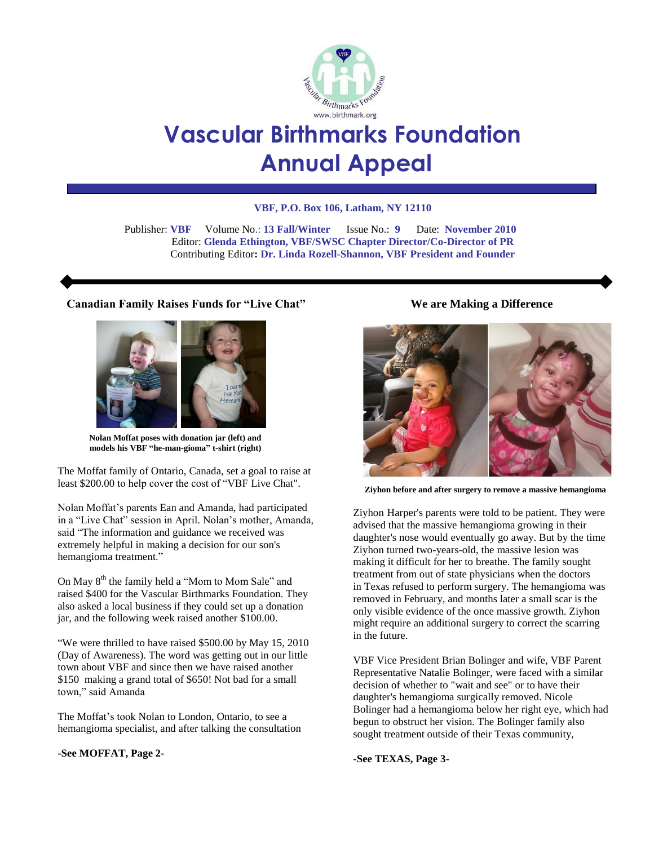

# **Vascular Birthmarks Foundation Annual Appeal**

#### **VBF, P.O. Box 106, Latham, NY 12110**

 Publisher: **VBF** Volume No.: **13 Fall/Winter** Issue No.: **9** Date: **November 2010** Editor: **Glenda Ethington, VBF/SWSC Chapter Director/Co-Director of PR** Contributing Editor**: Dr. Linda Rozell-Shannon, VBF President and Founder**

## **Canadian Family Raises Funds for "Live Chat"**



**Nolan Moffat poses with donation jar (left) and models his VBF "he-man-gioma" t-shirt (right)**

The Moffat family of Ontario, Canada, set a goal to raise at least \$200.00 to help cover the cost of "VBF Live Chat".

Nolan Moffat's parents Ean and Amanda, had participated in a "Live Chat" session in April. Nolan's mother, Amanda, said "The information and guidance we received was extremely helpful in making a decision for our son's hemangioma treatment."

On May 8<sup>th</sup> the family held a "Mom to Mom Sale" and raised \$400 for the Vascular Birthmarks Foundation. They also asked a local business if they could set up a donation jar, and the following week raised another \$100.00.

"We were thrilled to have raised \$500.00 by May 15, 2010 (Day of Awareness). The word was getting out in our little town about VBF and since then we have raised another \$150 making a grand total of \$650! Not bad for a small town," said Amanda

The Moffat's took Nolan to London, Ontario, to see a hemangioma specialist, and after talking the consultation

#### **-See MOFFAT, Page 2-**

## **We are Making a Difference**



**Ziyhon before and after surgery to remove a massive hemangioma**

Ziyhon Harper's parents were told to be patient. They were advised that the massive hemangioma growing in their daughter's nose would eventually go away. But by the time Ziyhon turned two-years-old, the massive lesion was making it difficult for her to breathe. The family sought treatment from out of state physicians when the doctors in Texas refused to perform surgery. The hemangioma was removed in February, and months later a small scar is the only visible evidence of the once massive growth. Ziyhon might require an additional surgery to correct the scarring in the future.

VBF Vice President Brian Bolinger and wife, VBF Parent Representative Natalie Bolinger, were faced with a similar decision of whether to "wait and see" or to have their daughter's hemangioma surgically removed. Nicole Bolinger had a hemangioma below her right eye, which had begun to obstruct her vision. The Bolinger family also sought treatment outside of their Texas community,

**-See TEXAS, Page 3-**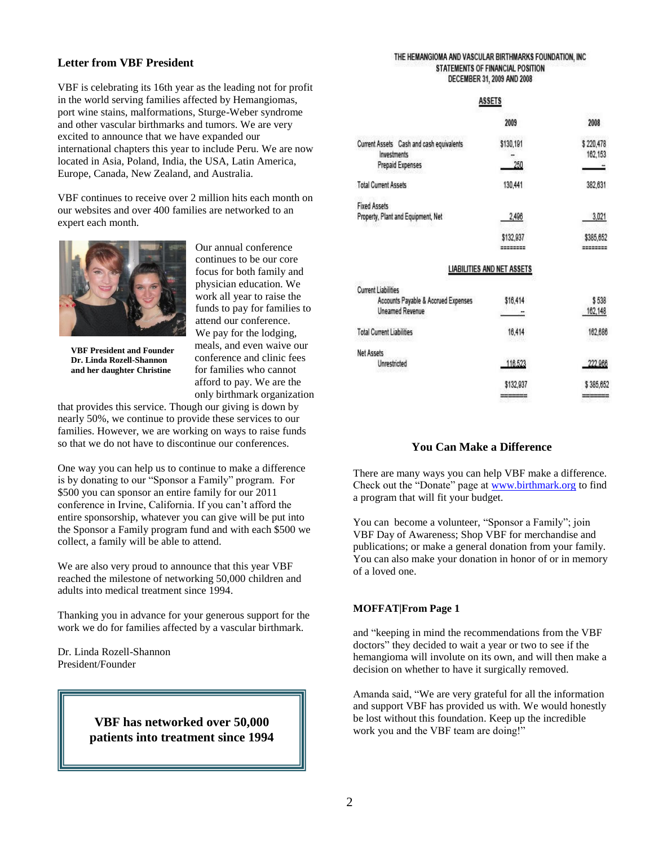# **Letter from VBF President**

VBF is celebrating its 16th year as the leading not for profit in the world serving families affected by Hemangiomas, port wine stains, malformations, Sturge-Weber syndrome and other vascular birthmarks and tumors. We are very excited to announce that we have expanded our international chapters this year to include Peru. We are now located in Asia, Poland, India, the USA, Latin America, Europe, Canada, New Zealand, and Australia.

VBF continues to receive over 2 million hits each month on our websites and over 400 families are networked to an expert each month.



**VBF President and Founder Dr. Linda Rozell-Shannon and her daughter Christine**

Our annual conference continues to be our core focus for both family and physician education. We work all year to raise the funds to pay for families to attend our conference. We pay for the lodging, meals, and even waive our conference and clinic fees for families who cannot afford to pay. We are the only birthmark organization

that provides this service. Though our giving is down by nearly 50%, we continue to provide these services to our families. However, we are working on ways to raise funds so that we do not have to discontinue our conferences.

One way you can help us to continue to make a difference is by donating to our "Sponsor a Family" program. For \$500 you can sponsor an entire family for our 2011 conference in Irvine, California. If you can't afford the entire sponsorship, whatever you can give will be put into the Sponsor a Family program fund and with each \$500 we collect, a family will be able to attend.

We are also very proud to announce that this year VBF reached the milestone of networking 50,000 children and adults into medical treatment since 1994.

Thanking you in advance for your generous support for the work we do for families affected by a vascular birthmark.

Dr. Linda Rozell-Shannon President/Founder

# **patients into treatment since 1994VBF has networked over 50,000**

#### THE HEMANGIOMA AND VASCULAR BIRTHMARKS FOUNDATION, INC STATEMENTS OF FINANCIAL POSITION DECEMBER 31, 2009 AND 2008

#### **ASSETS**

|                                                                                             | 2009                              | 2008                 |
|---------------------------------------------------------------------------------------------|-----------------------------------|----------------------|
| Current Assets Cash and cash equivalents<br><b>Investments</b><br><b>Prepaid Expenses</b>   | \$130,191<br>250                  | \$220,478<br>162.153 |
| <b>Total Current Assets</b>                                                                 | 130,441                           | 382,631              |
| <b>Fixed Assets</b>                                                                         |                                   |                      |
| Property, Plant and Equipment, Net                                                          | 2,496                             | 3,021                |
|                                                                                             | \$132,937                         | \$385,652            |
|                                                                                             | <b>LIABILITIES AND NET ASSETS</b> |                      |
| <b>Current Liabilities</b><br>Accounts Payable & Accrued Expenses<br><b>Uneamed Revenue</b> | \$16,414                          | \$538<br>162,148     |
| <b>Total Current Liabilities</b>                                                            | 16,414                            | 162,686              |
| <b>Net Assets</b>                                                                           |                                   |                      |
| Unrestricted                                                                                | 116.523                           | 222,966              |
|                                                                                             | \$132,937                         | \$385,652            |
|                                                                                             |                                   |                      |

# **You Can Make a Difference**

There are many ways you can help VBF make a difference. Check out the "Donate" page at [www.birthmark.org](http://www.birthmark.org/) to find a program that will fit your budget.

You can become a volunteer, "Sponsor a Family"; join VBF Day of Awareness; Shop VBF for merchandise and publications; or make a general donation from your family. You can also make your donation in honor of or in memory of a loved one.

#### **MOFFAT|From Page 1**

and "keeping in mind the recommendations from the VBF doctors" they decided to wait a year or two to see if the hemangioma will involute on its own, and will then make a decision on whether to have it surgically removed.

Amanda said, "We are very grateful for all the information and support VBF has provided us with. We would honestly be lost without this foundation. Keep up the incredible work you and the VBF team are doing!"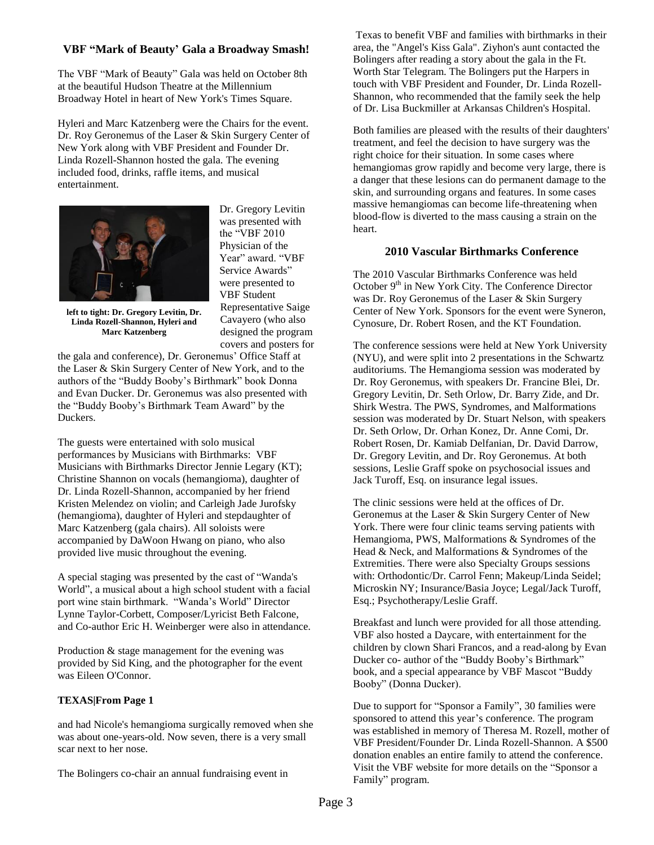# **VBF "Mark of Beauty' Gala a Broadway Smash!**

The VBF "Mark of Beauty" Gala was held on October 8th at the beautiful Hudson Theatre at the Millennium Broadway Hotel in heart of New York's Times Square.

Hyleri and Marc Katzenberg were the Chairs for the event. Dr. Roy Geronemus of the Laser & Skin Surgery Center of New York along with VBF President and Founder Dr. Linda Rozell-Shannon hosted the gala. The evening included food, drinks, raffle items, and musical entertainment.



Physician of the Year" award. "VBF Service Awards" were presented to VBF Student Representative Saige Cavayero (who also designed the program covers and posters for

Dr. Gregory Levitin was presented with the "VBF 2010

**left to tight: Dr. Gregory Levitin, Dr. Linda Rozell-Shannon, Hyleri and Marc Katzenberg**

the gala and conference), Dr. Geronemus' Office Staff at the Laser & Skin Surgery Center of New York, and to the authors of the "Buddy Booby's Birthmark" book Donna and Evan Ducker. Dr. Geronemus was also presented with the "Buddy Booby's Birthmark Team Award" by the Duckers.

The guests were entertained with solo musical performances by Musicians with Birthmarks: VBF Musicians with Birthmarks Director Jennie Legary (KT); Christine Shannon on vocals (hemangioma), daughter of Dr. Linda Rozell-Shannon, accompanied by her friend Kristen Melendez on violin; and Carleigh Jade Jurofsky (hemangioma), daughter of Hyleri and stepdaughter of Marc Katzenberg (gala chairs). All soloists were accompanied by DaWoon Hwang on piano, who also provided live music throughout the evening.

A special staging was presented by the cast of "Wanda's World", a musical about a high school student with a facial port wine stain birthmark. "Wanda's World" Director Lynne Taylor-Corbett, Composer/Lyricist Beth Falcone, and Co-author Eric H. Weinberger were also in attendance.

Production & stage management for the evening was provided by Sid King, and the photographer for the event was Eileen O'Connor.

# **TEXAS|From Page 1**

and had Nicole's hemangioma surgically removed when she was about one-years-old. Now seven, there is a very small scar next to her nose.

The Bolingers co-chair an annual fundraising event in

Texas to benefit VBF and families with birthmarks in their area, the "Angel's Kiss Gala". Ziyhon's aunt contacted the Bolingers after reading a story about the gala in the Ft. Worth Star Telegram. The Bolingers put the Harpers in touch with VBF President and Founder, Dr. Linda Rozell-Shannon, who recommended that the family seek the help of Dr. Lisa Buckmiller at Arkansas Children's Hospital.

Both families are pleased with the results of their daughters' treatment, and feel the decision to have surgery was the right choice for their situation. In some cases where hemangiomas grow rapidly and become very large, there is a danger that these lesions can do permanent damage to the skin, and surrounding organs and features. In some cases massive hemangiomas can become life-threatening when blood-flow is diverted to the mass causing a strain on the heart.

## **2010 Vascular Birthmarks Conference**

The 2010 Vascular Birthmarks Conference was held October 9<sup>th</sup> in New York City. The Conference Director was Dr. Roy Geronemus of the Laser & Skin Surgery Center of New York. Sponsors for the event were Syneron, Cynosure, Dr. Robert Rosen, and the KT Foundation.

The conference sessions were held at New York University (NYU), and were split into 2 presentations in the Schwartz auditoriums. The Hemangioma session was moderated by Dr. Roy Geronemus, with speakers Dr. Francine Blei, Dr. Gregory Levitin, Dr. Seth Orlow, Dr. Barry Zide, and Dr. Shirk Westra. The PWS, Syndromes, and Malformations session was moderated by Dr. Stuart Nelson, with speakers Dr. Seth Orlow, Dr. Orhan Konez, Dr. Anne Comi, Dr. Robert Rosen, Dr. Kamiab Delfanian, Dr. David Darrow, Dr. Gregory Levitin, and Dr. Roy Geronemus. At both sessions, Leslie Graff spoke on psychosocial issues and Jack Turoff, Esq. on insurance legal issues.

The clinic sessions were held at the offices of Dr. Geronemus at the Laser & Skin Surgery Center of New York. There were four clinic teams serving patients with Hemangioma, PWS, Malformations & Syndromes of the Head & Neck, and Malformations & Syndromes of the Extremities. There were also Specialty Groups sessions with: Orthodontic/Dr. Carrol Fenn; Makeup/Linda Seidel; Microskin NY; Insurance/Basia Joyce; Legal/Jack Turoff, Esq.; Psychotherapy/Leslie Graff.

Breakfast and lunch were provided for all those attending. VBF also hosted a Daycare, with entertainment for the children by clown Shari Francos, and a read-along by Evan Ducker co- author of the "Buddy Booby's Birthmark" book, and a special appearance by VBF Mascot "Buddy Booby" (Donna Ducker).

Due to support for "Sponsor a Family", 30 families were sponsored to attend this year's conference. The program was established in memory of Theresa M. Rozell, mother of VBF President/Founder Dr. Linda Rozell-Shannon. A \$500 donation enables an entire family to attend the conference. Visit the VBF website for more details on the "Sponsor a Family" program.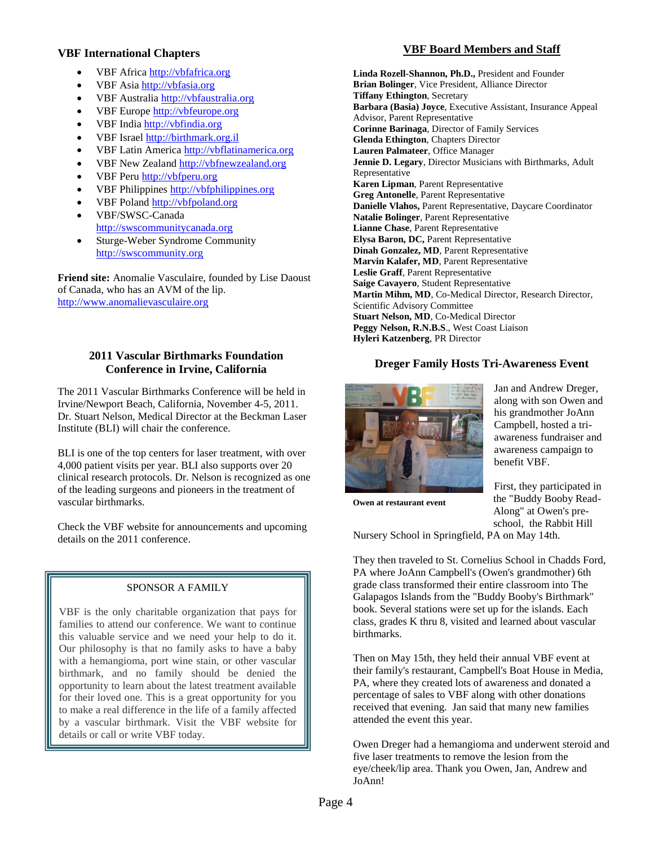## **VBF International Chapters**

- VBF Africa [http://vbfafrica.org](http://vbfafrica.org/)
- VBF Asia [http://vbfasia.org](http://vbfasia.org/)
- VBF Australia [http://vbfaustralia.org](http://vbfaustralia.org/)
- VBF Europe [http://vbfeurope.org](http://vbfeurope.org/)
- VBF India [http://vbfindia.org](http://vbfindia.org/)
- VBF Israel [http://birthmark.org.il](http://birthmark.org.il/)
- VBF Latin America [http://vbflatinamerica.org](http://vbflatinamerica.org/)
- VBF New Zealand [http://vbfnewzealand.org](http://vbfnewzealand.org/)
- VBF Peru [http://vbfperu.org](http://vbfperu.org/)
- VBF Philippines [http://vbfphilippines.org](http://vbfphilippines.org/)
- VBF Poland [http://vbfpoland.org](http://vbfpoland.org/)
- VBF/SWSC-Canada [http://swscommunitycanada.org](http://swscommunitycanada.org/)
- Sturge-Weber Syndrome Community [http://swscommunity.org](http://swscommunity.org/)

**Friend site:** Anomalie Vasculaire, founded by Lise Daoust of Canada, who has an AVM of the lip. [http://www.anomalievasculaire.org](http://www.anomalievasculaire.org/)

# **2011 Vascular Birthmarks Foundation Conference in Irvine, California**

The 2011 Vascular Birthmarks Conference will be held in Irvine/Newport Beach, California, November 4-5, 2011. Dr. Stuart Nelson, Medical Director at the Beckman Laser Institute (BLI) will chair the conference.

BLI is one of the top centers for laser treatment, with over 4,000 patient visits per year. BLI also supports over 20 clinical research protocols. Dr. Nelson is recognized as one of the leading surgeons and pioneers in the treatment of vascular birthmarks.

Check the VBF website for announcements and upcoming details on the 2011 conference.

# SPONSOR A FAMILY

VBF is the only charitable organization that pays for families to attend our conference. We want to continue this valuable service and we need your help to do it. Our philosophy is that no family asks to have a baby with a hemangioma, port wine stain, or other vascular birthmark, and no family should be denied the opportunity to learn about the latest treatment available for their loved one. This is a great opportunity for you to make a real difference in the life of a family affected by a vascular birthmark. Visit the VBF website for details or call or write VBF today.

# **VBF Board Members and Staff**

**Linda Rozell-Shannon, Ph.D.,** President and Founder **Brian Bolinger**, Vice President, Alliance Director **Tiffany Ethington**, Secretary **Barbara (Basia) Joyce**, Executive Assistant, Insurance Appeal Advisor, Parent Representative **Corinne Barinaga**, Director of Family Services **Glenda Ethington**, Chapters Director **Lauren Palmateer**, Office Manager **Jennie D. Legary**, Director Musicians with Birthmarks, Adult Representative **Karen Lipman**, Parent Representative **Greg Antonelle**, Parent Representative **Danielle Vlahos,** Parent Representative, Daycare Coordinator **Natalie Bolinger**, Parent Representative **Lianne Chase**, Parent Representative **Elysa Baron, DC,** Parent Representative **Dinah Gonzalez, MD**, Parent Representative **Marvin Kalafer, MD**, Parent Representative **Leslie Graff**, Parent Representative **Saige Cavayero**, Student Representative **Martin Mihm, MD**, Co-Medical Director, Research Director, Scientific Advisory Committee **Stuart Nelson, MD**, Co-Medical Director **Peggy Nelson, R.N.B.S**., West Coast Liaison **Hyleri Katzenberg**, PR Director

# **Dreger Family Hosts Tri-Awareness Event**



Jan and Andrew Dreger, along with son Owen and his grandmother JoAnn Campbell, hosted a triawareness fundraiser and awareness campaign to benefit VBF.

First, they participated in the "Buddy Booby Read-Along" at Owen's pre-

**Owen at restaurant event**

school, the Rabbit Hill Nursery School in Springfield, PA on May 14th.

They then traveled to St. Cornelius School in Chadds Ford, PA where JoAnn Campbell's (Owen's grandmother) 6th grade class transformed their entire classroom into The Galapagos Islands from the "Buddy Booby's Birthmark" book. Several stations were set up for the islands. Each class, grades K thru 8, visited and learned about vascular birthmarks.

Then on May 15th, they held their annual VBF event at their family's restaurant, Campbell's Boat House in Media, PA, where they created lots of awareness and donated a percentage of sales to VBF along with other donations received that evening. Jan said that many new families attended the event this year.

Owen Dreger had a hemangioma and underwent steroid and five laser treatments to remove the lesion from the eye/cheek/lip area. Thank you Owen, Jan, Andrew and JoAnn!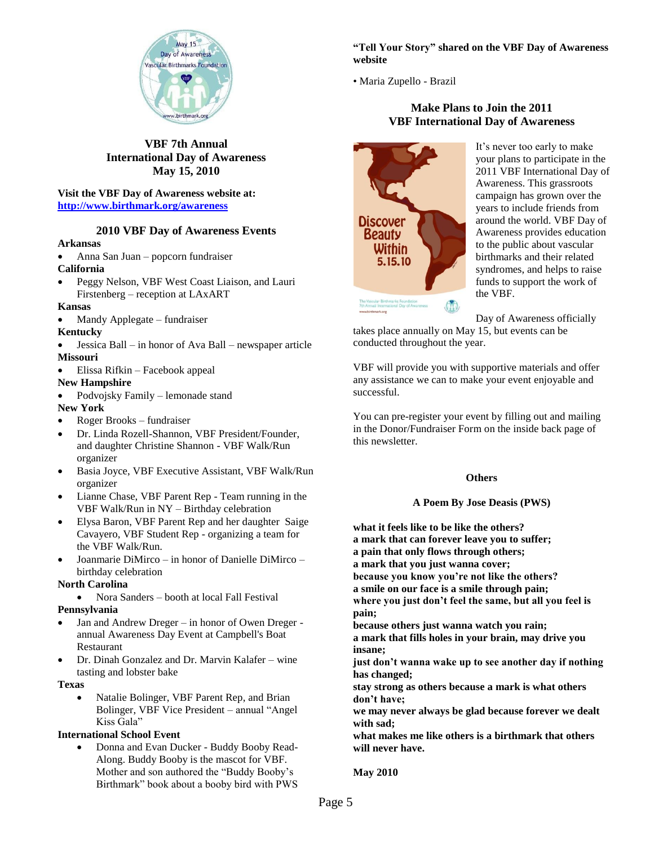

**VBF 7th Annual International Day of Awareness May 15, 2010**

**Visit the VBF Day of Awareness website at: <http://www.birthmark.org/awareness>**

#### **2010 VBF Day of Awareness Events**

#### **Arkansas**

- Anna San Juan popcorn fundraiser **California**
- Peggy Nelson, VBF West Coast Liaison, and Lauri Firstenberg – reception at LAxART

#### **Kansas**

Mandy Applegate – fundraiser

#### **Kentucky**

- Jessica Ball in honor of Ava Ball newspaper article **Missouri**
- Elissa Rifkin Facebook appeal
- **New Hampshire**
- Podvojsky Family lemonade stand

#### **New York**

- Roger Brooks fundraiser
- Dr. Linda Rozell-Shannon, VBF President/Founder, and daughter Christine Shannon - VBF Walk/Run organizer
- Basia Joyce, VBF Executive Assistant, VBF Walk/Run organizer
- Lianne Chase, VBF Parent Rep Team running in the VBF Walk/Run in NY – Birthday celebration
- Elysa Baron, VBF Parent Rep and her daughter Saige Cavayero, VBF Student Rep - organizing a team for the VBF Walk/Run.
- Joanmarie DiMirco in honor of Danielle DiMirco birthday celebration

## **North Carolina**

• Nora Sanders – booth at local Fall Festival **Pennsylvania**

- Jan and Andrew Dreger in honor of Owen Dreger annual Awareness Day Event at Campbell's Boat Restaurant
- Dr. Dinah Gonzalez and Dr. Marvin Kalafer wine tasting and lobster bake

#### **Texas**

 Natalie Bolinger, VBF Parent Rep, and Brian Bolinger, VBF Vice President – annual "Angel Kiss Gala"

#### **International School Event**

 Donna and Evan Ducker - Buddy Booby Read-Along. Buddy Booby is the mascot for VBF. Mother and son authored the "Buddy Booby's Birthmark" book about a booby bird with PWS

## **"Tell Your Story" shared on the VBF Day of Awareness website**

• Maria Zupello - Brazil

# **Make Plans to Join the 2011 VBF International Day of Awareness**



It's never too early to make your plans to participate in the 2011 VBF International Day of Awareness. This grassroots campaign has grown over the years to include friends from around the world. VBF Day of Awareness provides education to the public about vascular birthmarks and their related syndromes, and helps to raise funds to support the work of the VBF.

Day of Awareness officially

takes place annually on May 15, but events can be conducted throughout the year.

VBF will provide you with supportive materials and offer any assistance we can to make your event enjoyable and successful.

You can pre-register your event by filling out and mailing in the Donor/Fundraiser Form on the inside back page of this newsletter.

#### **Others**

# **A Poem By Jose Deasis (PWS)**

**what it feels like to be like the others? a mark that can forever leave you to suffer; a pain that only flows through others; a mark that you just wanna cover; because you know you're not like the others? a smile on our face is a smile through pain; where you just don't feel the same, but all you feel is pain; because others just wanna watch you rain; a mark that fills holes in your brain, may drive you insane; just don't wanna wake up to see another day if nothing has changed; stay strong as others because a mark is what others don't have; we may never always be glad because forever we dealt with sad; what makes me like others is a birthmark that others will never have.**

**May 2010**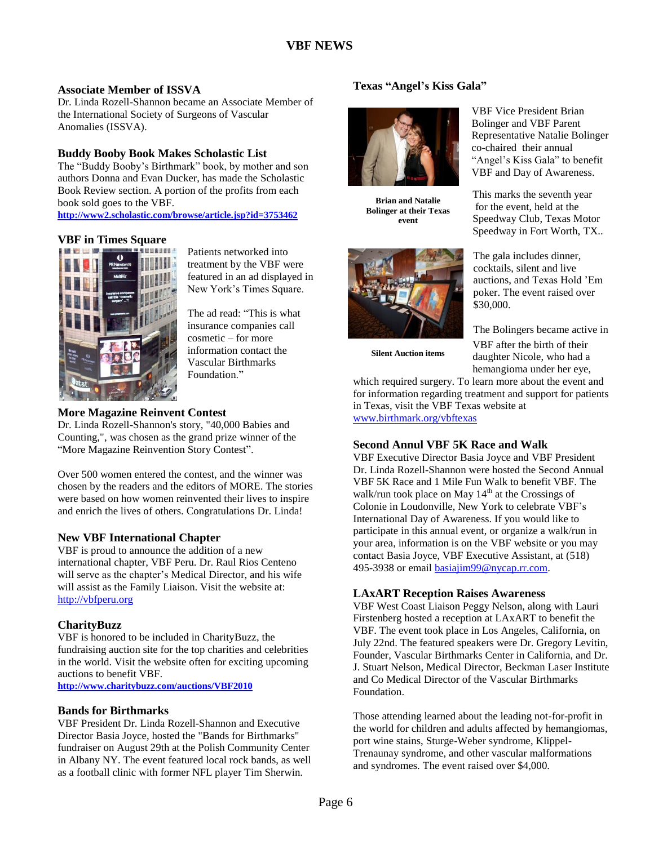# **Associate Member of ISSVA**

Dr. Linda Rozell-Shannon became an Associate Member of the International Society of Surgeons of Vascular Anomalies (ISSVA).

# **Buddy Booby Book Makes Scholastic List**

The "Buddy Booby's Birthmark" book, by mother and son authors Donna and Evan Ducker, has made the Scholastic Book Review section. A portion of the profits from each book sold goes to the VBF. **<http://www2.scholastic.com/browse/article.jsp?id=3753462>**

# **VBF in Times Square**



Patients networked into treatment by the VBF were featured in an ad displayed in New York's Times Square.

The ad read: "This is what insurance companies call cosmetic – for more information contact the Vascular Birthmarks Foundation."

# **More Magazine Reinvent Contest**

Dr. Linda Rozell-Shannon's story, "40,000 Babies and Counting,", was chosen as the grand prize winner of the "More Magazine Reinvention Story Contest".

Over 500 women entered the contest, and the winner was chosen by the readers and the editors of MORE. The stories were based on how women reinvented their lives to inspire and enrich the lives of others. Congratulations Dr. Linda!

# **New VBF International Chapter**

VBF is proud to announce the addition of a new international chapter, VBF Peru. Dr. Raul Rios Centeno will serve as the chapter's Medical Director, and his wife will assist as the Family Liaison. Visit the website at: [http://vbfperu.org](http://vbfperu.org/)

# **CharityBuzz**

VBF is honored to be included in CharityBuzz, the fundraising auction site for the top charities and celebrities in the world. Visit the website often for exciting upcoming auctions to benefit VBF.

**<http://www.charitybuzz.com/auctions/VBF2010>**

# **Bands for Birthmarks**

VBF President Dr. Linda Rozell-Shannon and Executive Director Basia Joyce, hosted the "Bands for Birthmarks" fundraiser on August 29th at the Polish Community Center in Albany NY. The event featured local rock bands, as well as a football clinic with former NFL player Tim Sherwin.

# **Texas "Angel's Kiss Gala"**



**Brian and Natalie Bolinger at their Texas event**



**Silent Auction items**

VBF Vice President Brian Bolinger and VBF Parent Representative Natalie Bolinger co-chaired their annual "Angel's Kiss Gala" to benefit VBF and Day of Awareness.

This marks the seventh year for the event, held at the Speedway Club, Texas Motor Speedway in Fort Worth, TX..

The gala includes dinner, cocktails, silent and live auctions, and Texas Hold 'Em poker. The event raised over \$30,000.

The Bolingers became active in VBF after the birth of their daughter Nicole, who had a hemangioma under her eye,

which required surgery. To learn more about the event and for information regarding treatment and support for patients in Texas, visit the VBF Texas website at [www.birthmark.org/vbftexas](http://www.birthmark.org/vbftexas)

#### **Second Annul VBF 5K Race and Walk**

VBF Executive Director Basia Joyce and VBF President Dr. Linda Rozell-Shannon were hosted the Second Annual VBF 5K Race and 1 Mile Fun Walk to benefit VBF. The walk/run took place on May  $14<sup>th</sup>$  at the Crossings of Colonie in Loudonville, New York to celebrate VBF's International Day of Awareness. If you would like to participate in this annual event, or organize a walk/run in your area, information is on the VBF website or you may contact Basia Joyce, VBF Executive Assistant, at (518) 495-3938 or email [basiajim99@nycap.rr.com.](mailto:basiajim99@nycap.rr.com)

# **LAxART Reception Raises Awareness**

VBF West Coast Liaison Peggy Nelson, along with Lauri Firstenberg hosted a reception at LAxART to benefit the VBF. The event took place in Los Angeles, California, on July 22nd. The featured speakers were Dr. Gregory Levitin, Founder, Vascular Birthmarks Center in California, and Dr. J. Stuart Nelson, Medical Director, Beckman Laser Institute and Co Medical Director of the Vascular Birthmarks Foundation.

Those attending learned about the leading not-for-profit in the world for children and adults affected by hemangiomas, port wine stains, Sturge-Weber syndrome, Klippel-Trenaunay syndrome, and other vascular malformations and syndromes. The event raised over \$4,000.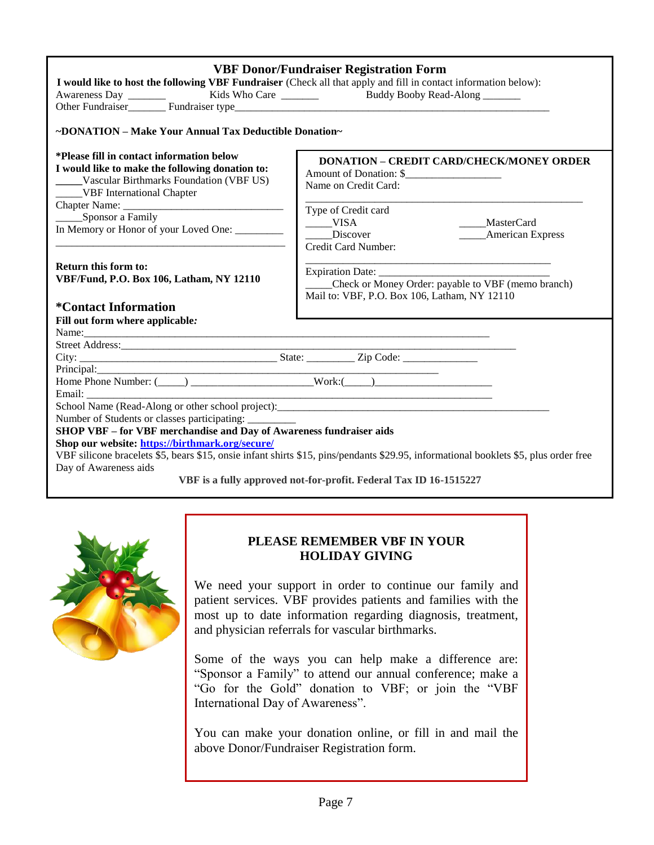| <b>VBF Donor/Fundraiser Registration Form</b>                                                                                                                                           |                                                    |  |
|-----------------------------------------------------------------------------------------------------------------------------------------------------------------------------------------|----------------------------------------------------|--|
| I would like to host the following VBF Fundraiser (Check all that apply and fill in contact information below):                                                                         |                                                    |  |
|                                                                                                                                                                                         |                                                    |  |
|                                                                                                                                                                                         |                                                    |  |
| ~DONATION – Make Your Annual Tax Deductible Donation~                                                                                                                                   |                                                    |  |
| *Please fill in contact information below                                                                                                                                               | <b>DONATION - CREDIT CARD/CHECK/MONEY ORDER</b>    |  |
| I would like to make the following donation to:                                                                                                                                         | Amount of Donation: \$                             |  |
| ____Vascular Birthmarks Foundation (VBF US)                                                                                                                                             | Name on Credit Card:                               |  |
| ______VBF International Chapter                                                                                                                                                         |                                                    |  |
|                                                                                                                                                                                         | Type of Credit card                                |  |
| _______Sponsor a Family                                                                                                                                                                 | $\rule{1em}{0.15mm}$ VISA<br>_____MasterCard       |  |
| In Memory or Honor of your Loved One: ________                                                                                                                                          | Discover<br><b>Express</b>                         |  |
|                                                                                                                                                                                         | Credit Card Number:                                |  |
|                                                                                                                                                                                         |                                                    |  |
| <b>Return this form to:</b>                                                                                                                                                             |                                                    |  |
| VBF/Fund, P.O. Box 106, Latham, NY 12110                                                                                                                                                | Check or Money Order: payable to VBF (memo branch) |  |
|                                                                                                                                                                                         | Mail to: VBF, P.O. Box 106, Latham, NY 12110       |  |
| <i><b>*Contact Information</b></i>                                                                                                                                                      |                                                    |  |
| Fill out form where applicable:                                                                                                                                                         |                                                    |  |
|                                                                                                                                                                                         |                                                    |  |
|                                                                                                                                                                                         |                                                    |  |
|                                                                                                                                                                                         |                                                    |  |
|                                                                                                                                                                                         |                                                    |  |
|                                                                                                                                                                                         |                                                    |  |
| Email:                                                                                                                                                                                  |                                                    |  |
|                                                                                                                                                                                         |                                                    |  |
| Number of Students or classes participating: _________                                                                                                                                  |                                                    |  |
| SHOP VBF - for VBF merchandise and Day of Awareness fundraiser aids                                                                                                                     |                                                    |  |
| Shop our website: https://birthmark.org/secure/<br>VBF silicone bracelets \$5, bears \$15, onsie infant shirts \$15, pins/pendants \$29.95, informational booklets \$5, plus order free |                                                    |  |
| Day of Awareness aids                                                                                                                                                                   |                                                    |  |
| VBF is a fully approved not-for-profit. Federal Tax ID 16-1515227                                                                                                                       |                                                    |  |
|                                                                                                                                                                                         |                                                    |  |



# **PLEASE REMEMBER VBF IN YOUR HOLIDAY GIVING**

We need your support in order to continue our family and patient services. VBF provides patients and families with the most up to date information regarding diagnosis, treatment, and physician referrals for vascular birthmarks.

Some of the ways you can help make a difference are: "Sponsor a Family" to attend our annual conference; make a "Go for the Gold" donation to VBF; or join the "VBF International Day of Awareness".

You can make your donation online, or fill in and mail the above Donor/Fundraiser Registration form.